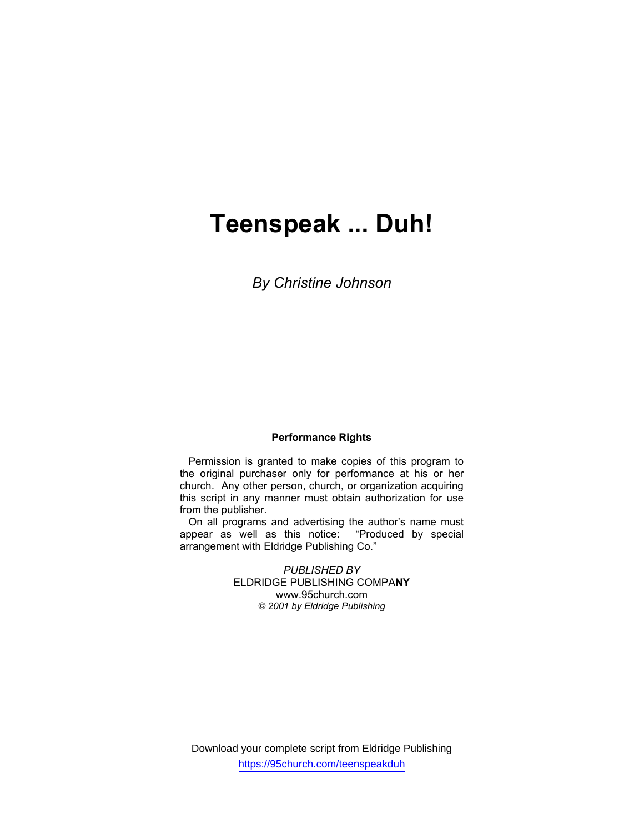# **Teenspeak ... Duh!**

*By Christine Johnson* 

#### **Performance Rights**

 Permission is granted to make copies of this program to the original purchaser only for performance at his or her church. Any other person, church, or organization acquiring this script in any manner must obtain authorization for use from the publisher.

 On all programs and advertising the author's name must appear as well as this notice: "Produced by special arrangement with Eldridge Publishing Co."

> *PUBLISHED BY*  ELDRIDGE PUBLISHING COMPA**NY**  www.95church.com *© 2001 by Eldridge Publishing*

Download your complete script from Eldridge Publishing https://95church.com/teenspeakduh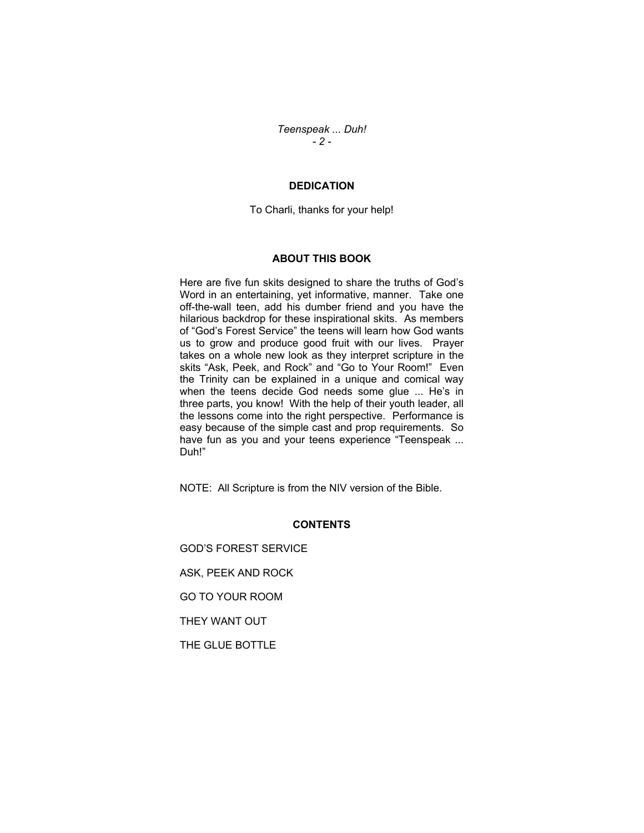*Teenspeak ... Duh! - 2 -* 

## **DEDICATION**

To Charli, thanks for your help!

#### **ABOUT THIS BOOK**

Here are five fun skits designed to share the truths of God's Word in an entertaining, yet informative, manner. Take one off-the-wall teen, add his dumber friend and you have the hilarious backdrop for these inspirational skits. As members of "God's Forest Service" the teens will learn how God wants us to grow and produce good fruit with our lives. Prayer takes on a whole new look as they interpret scripture in the skits "Ask, Peek, and Rock" and "Go to Your Room!" Even the Trinity can be explained in a unique and comical way when the teens decide God needs some glue ... He's in three parts, you know! With the help of their youth leader, all the lessons come into the right perspective. Performance is easy because of the simple cast and prop requirements. So have fun as you and your teens experience "Teenspeak ... Duh!"

NOTE: All Scripture is from the NIV version of the Bible.

#### **CONTENTS**

GOD'S FOREST SERVICE ASK, PEEK AND ROCK GO TO YOUR ROOM THEY WANT OUT THE GLUE BOTTLE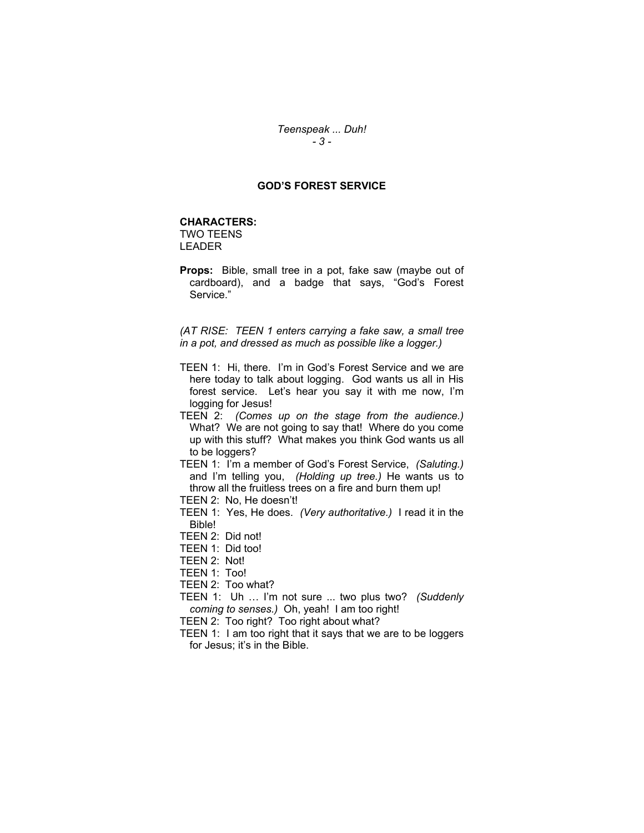## *Teenspeak ... Duh! - 3 -*

## **GOD'S FOREST SERVICE**

#### **CHARACTERS:**

TWO TEENS LEADER

**Props:** Bible, small tree in a pot, fake saw (maybe out of cardboard), and a badge that says, "God's Forest Service."

*(AT RISE: TEEN 1 enters carrying a fake saw, a small tree in a pot, and dressed as much as possible like a logger.)*

- TEEN 1: Hi, there. I'm in God's Forest Service and we are here today to talk about logging. God wants us all in His forest service. Let's hear you say it with me now, I'm logging for Jesus!
- TEEN 2: *(Comes up on the stage from the audience.)* What? We are not going to say that! Where do you come up with this stuff? What makes you think God wants us all to be loggers?

TEEN 1: I'm a member of God's Forest Service, *(Saluting.)* and I'm telling you, *(Holding up tree.)* He wants us to throw all the fruitless trees on a fire and burn them up! TEEN 2: No, He doesn't!

- 
- TEEN 1: Yes, He does. *(Very authoritative.)* I read it in the Bible!
- TEEN 2: Did not!
- TEEN 1: Did too!
- TEEN 2: Not!
- TEEN 1: Too!

TEEN 2: Too what?

- TEEN 1: Uh … I'm not sure ... two plus two? *(Suddenly coming to senses.)* Oh, yeah! I am too right!
- TEEN 2: Too right? Too right about what?
- TEEN 1: I am too right that it says that we are to be loggers for Jesus; it's in the Bible.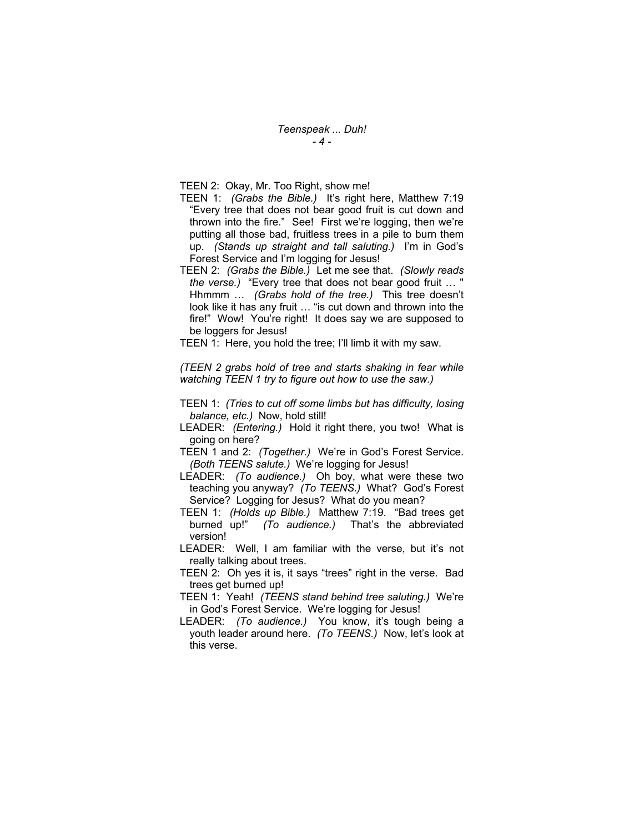*Teenspeak ... Duh! - 4 -* 

TEEN 2: Okay, Mr. Too Right, show me!

- TEEN 1: *(Grabs the Bible.)* It's right here, Matthew 7:19 "Every tree that does not bear good fruit is cut down and thrown into the fire." See! First we're logging, then we're putting all those bad, fruitless trees in a pile to burn them up. *(Stands up straight and tall saluting.)* I'm in God's Forest Service and I'm logging for Jesus!
- TEEN 2: *(Grabs the Bible.)* Let me see that. *(Slowly reads the verse.)* "Every tree that does not bear good fruit … " Hhmmm … *(Grabs hold of the tree.)* This tree doesn't look like it has any fruit … "is cut down and thrown into the fire!" Wow! You're right! It does say we are supposed to be loggers for Jesus!

TEEN 1: Here, you hold the tree; I'll limb it with my saw.

*(TEEN 2 grabs hold of tree and starts shaking in fear while watching TEEN 1 try to figure out how to use the saw.)* 

- TEEN 1: *(Tries to cut off some limbs but has difficulty, losing balance, etc.)* Now, hold still!
- LEADER: *(Entering.)* Hold it right there, you two! What is going on here?
- TEEN 1 and 2: *(Together.)* We're in God's Forest Service. *(Both TEENS salute.)* We're logging for Jesus!
- LEADER: *(To audience.)* Oh boy, what were these two teaching you anyway? *(To TEENS.)* What? God's Forest Service? Logging for Jesus? What do you mean?
- TEEN 1: *(Holds up Bible.)* Matthew 7:19. "Bad trees get burned up!" *(To audience.)* That's the abbreviated version!
- LEADER: Well, I am familiar with the verse, but it's not really talking about trees.
- TEEN 2: Oh yes it is, it says "trees" right in the verse. Bad trees get burned up!
- TEEN 1: Yeah! *(TEENS stand behind tree saluting.)* We're in God's Forest Service. We're logging for Jesus!
- LEADER: *(To audience.)* You know, it's tough being a youth leader around here. *(To TEENS.)* Now, let's look at this verse.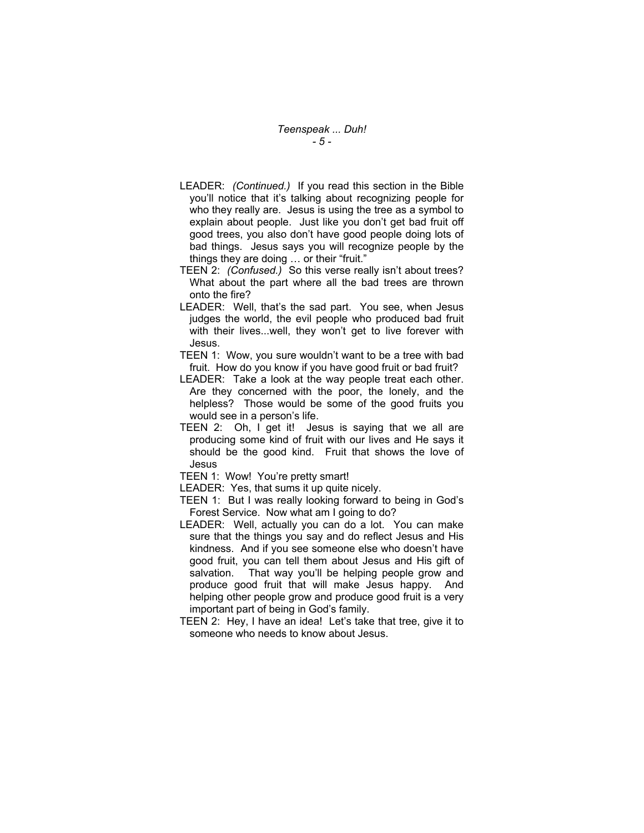- LEADER: *(Continued.)* If you read this section in the Bible you'll notice that it's talking about recognizing people for who they really are. Jesus is using the tree as a symbol to explain about people. Just like you don't get bad fruit off good trees, you also don't have good people doing lots of bad things. Jesus says you will recognize people by the things they are doing … or their "fruit."
- TEEN 2: *(Confused.)* So this verse really isn't about trees? What about the part where all the bad trees are thrown onto the fire?
- LEADER: Well, that's the sad part. You see, when Jesus judges the world, the evil people who produced bad fruit with their lives...well, they won't get to live forever with Jesus.
- TEEN 1: Wow, you sure wouldn't want to be a tree with bad fruit. How do you know if you have good fruit or bad fruit?
- LEADER: Take a look at the way people treat each other. Are they concerned with the poor, the lonely, and the helpless? Those would be some of the good fruits you would see in a person's life.
- TEEN 2: Oh, I get it! Jesus is saying that we all are producing some kind of fruit with our lives and He says it should be the good kind. Fruit that shows the love of Jesus
- TEEN 1: Wow! You're pretty smart!
- LEADER: Yes, that sums it up quite nicely.
- TEEN 1: But I was really looking forward to being in God's Forest Service. Now what am I going to do?
- LEADER: Well, actually you can do a lot. You can make sure that the things you say and do reflect Jesus and His kindness. And if you see someone else who doesn't have good fruit, you can tell them about Jesus and His gift of salvation. That way you'll be helping people grow and produce good fruit that will make Jesus happy. And helping other people grow and produce good fruit is a very important part of being in God's family.
- TEEN 2: Hey, I have an idea! Let's take that tree, give it to someone who needs to know about Jesus.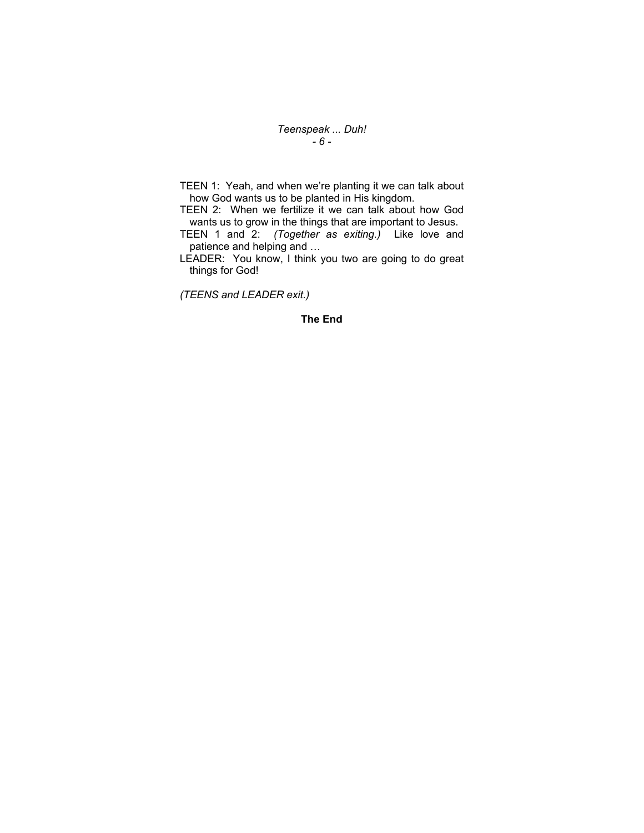*Teenspeak ... Duh! - 6 -* 

TEEN 1: Yeah, and when we're planting it we can talk about how God wants us to be planted in His kingdom.

TEEN 2: When we fertilize it we can talk about how God wants us to grow in the things that are important to Jesus.

TEEN 1 and 2: *(Together as exiting.)* Like love and patience and helping and …

LEADER: You know, I think you two are going to do great things for God!

*(TEENS and LEADER exit.)* 

## **The End**